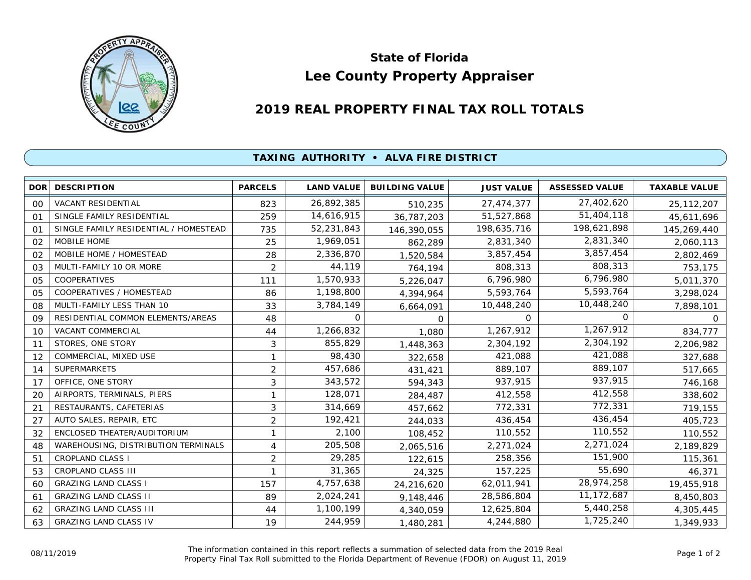

## **Lee County Property Appraiser State of Florida**

## **2019 REAL PROPERTY FINAL TAX ROLL TOTALS**

## **TAXING AUTHORITY • ALVA FIRE DISTRICT**

| <b>DOR</b> | <b>DESCRIPTION</b>                    | <b>PARCELS</b> | <b>LAND VALUE</b> | <b>BUILDING VALUE</b> | <b>JUST VALUE</b> | <b>ASSESSED VALUE</b> | <b>TAXABLE VALUE</b> |
|------------|---------------------------------------|----------------|-------------------|-----------------------|-------------------|-----------------------|----------------------|
| 00         | <b>VACANT RESIDENTIAL</b>             | 823            | 26,892,385        | 510,235               | 27,474,377        | 27,402,620            | 25, 112, 207         |
| 01         | SINGLE FAMILY RESIDENTIAL             | 259            | 14,616,915        | 36,787,203            | 51,527,868        | 51,404,118            | 45,611,696           |
| 01         | SINGLE FAMILY RESIDENTIAL / HOMESTEAD | 735            | 52,231,843        | 146,390,055           | 198,635,716       | 198,621,898           | 145,269,440          |
| 02         | MOBILE HOME                           | 25             | 1,969,051         | 862,289               | 2,831,340         | 2,831,340             | 2,060,113            |
| 02         | MOBILE HOME / HOMESTEAD               | 28             | 2,336,870         | 1,520,584             | 3,857,454         | 3,857,454             | 2,802,469            |
| 03         | MULTI-FAMILY 10 OR MORE               | 2              | 44,119            | 764,194               | 808,313           | 808,313               | 753,175              |
| 05         | COOPERATIVES                          | 111            | 1,570,933         | 5,226,047             | 6,796,980         | 6,796,980             | 5,011,370            |
| 05         | COOPERATIVES / HOMESTEAD              | 86             | 1,198,800         | 4,394,964             | 5,593,764         | 5,593,764             | 3,298,024            |
| 08         | MULTI-FAMILY LESS THAN 10             | 33             | 3,784,149         | 6,664,091             | 10,448,240        | 10,448,240            | 7,898,101            |
| 09         | RESIDENTIAL COMMON ELEMENTS/AREAS     | 48             | 0                 | $\Omega$              | 0                 | 0                     | $\Omega$             |
| 10         | <b>VACANT COMMERCIAL</b>              | 44             | 1,266,832         | 1,080                 | 1,267,912         | 1,267,912             | 834,777              |
| 11         | STORES, ONE STORY                     | 3              | 855,829           | 1,448,363             | 2,304,192         | 2,304,192             | 2,206,982            |
| 12         | COMMERCIAL, MIXED USE                 | 1              | 98,430            | 322,658               | 421,088           | 421,088               | 327,688              |
| 14         | <b>SUPERMARKETS</b>                   | $\overline{2}$ | 457,686           | 431,421               | 889,107           | 889,107               | 517,665              |
| 17         | OFFICE, ONE STORY                     | 3              | 343,572           | 594,343               | 937,915           | 937,915               | 746,168              |
| 20         | AIRPORTS, TERMINALS, PIERS            | 1              | 128,071           | 284,487               | 412,558           | 412,558               | 338,602              |
| 21         | RESTAURANTS, CAFETERIAS               | 3              | 314,669           | 457,662               | 772,331           | 772,331               | 719,155              |
| 27         | AUTO SALES, REPAIR, ETC               | $\overline{2}$ | 192,421           | 244,033               | 436,454           | 436,454               | 405,723              |
| 32         | ENCLOSED THEATER/AUDITORIUM           | 1              | 2,100             | 108,452               | 110,552           | 110,552               | 110,552              |
| 48         | WAREHOUSING, DISTRIBUTION TERMINALS   | 4              | 205,508           | 2,065,516             | 2,271,024         | 2,271,024             | 2,189,829            |
| 51         | <b>CROPLAND CLASS I</b>               | 2              | 29,285            | 122,615               | 258,356           | 151,900               | 115,361              |
| 53         | CROPLAND CLASS III                    | 1              | 31,365            | 24,325                | 157,225           | 55,690                | 46,371               |
| 60         | <b>GRAZING LAND CLASS I</b>           | 157            | 4,757,638         | 24,216,620            | 62,011,941        | 28,974,258            | 19,455,918           |
| 61         | <b>GRAZING LAND CLASS II</b>          | 89             | 2,024,241         | 9,148,446             | 28,586,804        | 11,172,687            | 8,450,803            |
| 62         | <b>GRAZING LAND CLASS III</b>         | 44             | 1,100,199         | 4,340,059             | 12,625,804        | 5,440,258             | 4,305,445            |
| 63         | <b>GRAZING LAND CLASS IV</b>          | 19             | 244,959           | 1,480,281             | 4,244,880         | 1,725,240             | 1,349,933            |